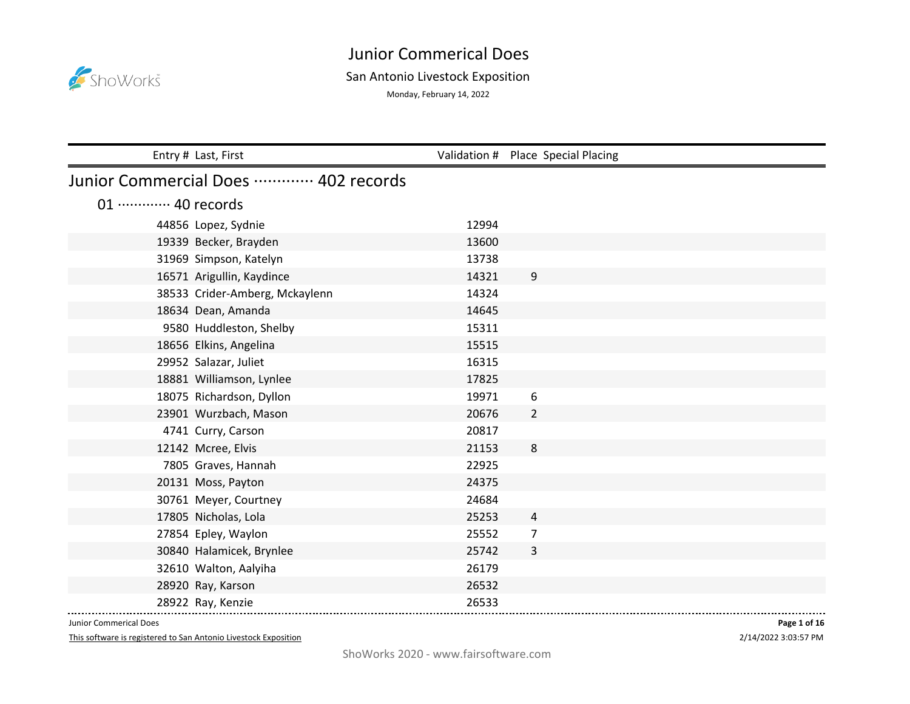

## San Antonio Livestock Exposition

Monday, February 14, 2022

| Entry # Last, First                 |       | Validation # Place Special Placing |  |  |
|-------------------------------------|-------|------------------------------------|--|--|
| Junior Commercial Does  402 records |       |                                    |  |  |
| 01 ············· 40 records         |       |                                    |  |  |
| 44856 Lopez, Sydnie                 | 12994 |                                    |  |  |
| 19339 Becker, Brayden               | 13600 |                                    |  |  |
| 31969 Simpson, Katelyn              | 13738 |                                    |  |  |
| 16571 Arigullin, Kaydince           | 14321 | 9                                  |  |  |
| 38533 Crider-Amberg, Mckaylenn      | 14324 |                                    |  |  |
| 18634 Dean, Amanda                  | 14645 |                                    |  |  |
| 9580 Huddleston, Shelby             | 15311 |                                    |  |  |
| 18656 Elkins, Angelina              | 15515 |                                    |  |  |
| 29952 Salazar, Juliet               | 16315 |                                    |  |  |
| 18881 Williamson, Lynlee            | 17825 |                                    |  |  |
| 18075 Richardson, Dyllon            | 19971 | 6                                  |  |  |
| 23901 Wurzbach, Mason               | 20676 | $\overline{2}$                     |  |  |
| 4741 Curry, Carson                  | 20817 |                                    |  |  |
| 12142 Mcree, Elvis                  | 21153 | 8                                  |  |  |
| 7805 Graves, Hannah                 | 22925 |                                    |  |  |
| 20131 Moss, Payton                  | 24375 |                                    |  |  |
| 30761 Meyer, Courtney               | 24684 |                                    |  |  |
| 17805 Nicholas, Lola                | 25253 | 4                                  |  |  |
| 27854 Epley, Waylon                 | 25552 | 7                                  |  |  |
| 30840 Halamicek, Brynlee            | 25742 | 3                                  |  |  |
| 32610 Walton, Aalyiha               | 26179 |                                    |  |  |
| 28920 Ray, Karson                   | 26532 |                                    |  |  |
| 28922 Ray, Kenzie                   | 26533 |                                    |  |  |

Junior Commerical Does

This software is registered to San Antonio Livestock Exposition

2/14/2022 3:03:57 PM **Page 1 of 16**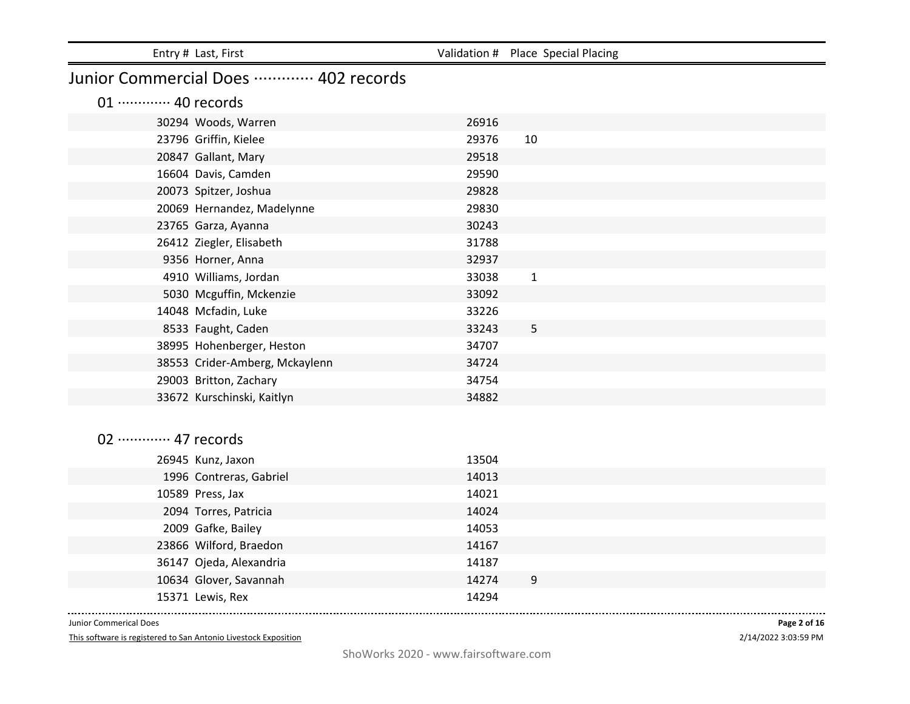| Entry # Last, First                 |                | Validation # Place Special Placing |
|-------------------------------------|----------------|------------------------------------|
| Junior Commercial Does  402 records |                |                                    |
| 01 ············· 40 records         |                |                                    |
| 30294 Woods, Warren                 | 26916          |                                    |
| 23796 Griffin, Kielee               | 29376          | 10                                 |
| 20847 Gallant, Mary                 | 29518          |                                    |
| 16604 Davis, Camden                 | 29590          |                                    |
| 20073 Spitzer, Joshua               | 29828          |                                    |
| 20069 Hernandez, Madelynne          | 29830          |                                    |
| 23765 Garza, Ayanna                 | 30243          |                                    |
| 26412 Ziegler, Elisabeth            | 31788          |                                    |
| 9356 Horner, Anna                   | 32937          |                                    |
| 4910 Williams, Jordan               | 33038          | $\mathbf{1}$                       |
| 5030 Mcguffin, Mckenzie             | 33092          |                                    |
| 14048 Mcfadin, Luke                 | 33226          |                                    |
| 8533 Faught, Caden                  | 33243          | 5                                  |
| 38995 Hohenberger, Heston           | 34707          |                                    |
| 38553 Crider-Amberg, Mckaylenn      | 34724          |                                    |
| 29003 Britton, Zachary              | 34754          |                                    |
| 33672 Kurschinski, Kaitlyn          | 34882          |                                    |
|                                     |                |                                    |
| 02 ············· 47 records         |                |                                    |
|                                     |                |                                    |
| 26945 Kunz, Jaxon                   | 13504          |                                    |
| 1996 Contreras, Gabriel             | 14013          |                                    |
| 10589 Press, Jax                    | 14021          |                                    |
| 2094 Torres, Patricia               | 14024          |                                    |
| 2009 Gafke, Bailey                  | 14053          |                                    |
| 23866 Wilford, Braedon              | 14167          |                                    |
| 36147 Ojeda, Alexandria             | 14187<br>14274 |                                    |
| 10634 Glover, Savannah              |                | 9                                  |
| 15371 Lewis, Rex                    | 14294          |                                    |

This software is registered to San Antonio Livestock Exposition

2/14/2022 3:03:59 PM **Page 2 of 16**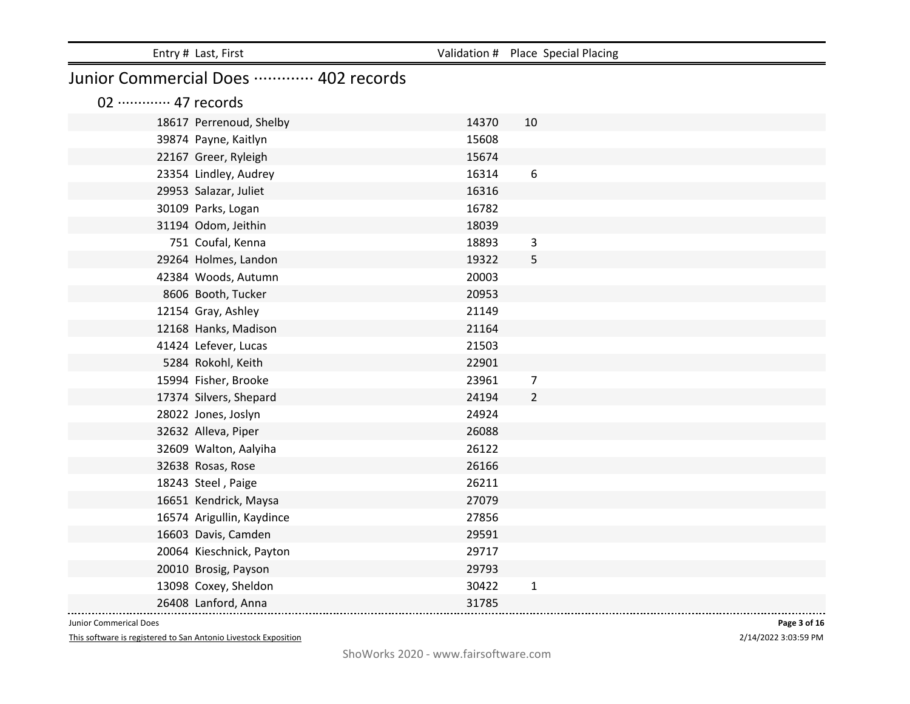| Entry # Last, First                 |       | Validation # Place Special Placing |  |  |
|-------------------------------------|-------|------------------------------------|--|--|
| Junior Commercial Does  402 records |       |                                    |  |  |
| 02 ············· 47 records         |       |                                    |  |  |
| 18617 Perrenoud, Shelby             | 14370 | 10                                 |  |  |
| 39874 Payne, Kaitlyn                | 15608 |                                    |  |  |
| 22167 Greer, Ryleigh                | 15674 |                                    |  |  |
| 23354 Lindley, Audrey               | 16314 | $\boldsymbol{6}$                   |  |  |
| 29953 Salazar, Juliet               | 16316 |                                    |  |  |
| 30109 Parks, Logan                  | 16782 |                                    |  |  |
| 31194 Odom, Jeithin                 | 18039 |                                    |  |  |
| 751 Coufal, Kenna                   | 18893 | 3                                  |  |  |
| 29264 Holmes, Landon                | 19322 | 5                                  |  |  |
| 42384 Woods, Autumn                 | 20003 |                                    |  |  |
| 8606 Booth, Tucker                  | 20953 |                                    |  |  |
| 12154 Gray, Ashley                  | 21149 |                                    |  |  |
| 12168 Hanks, Madison                | 21164 |                                    |  |  |
| 41424 Lefever, Lucas                | 21503 |                                    |  |  |
| 5284 Rokohl, Keith                  | 22901 |                                    |  |  |
| 15994 Fisher, Brooke                | 23961 | $\overline{7}$                     |  |  |
| 17374 Silvers, Shepard              | 24194 | $\overline{2}$                     |  |  |
| 28022 Jones, Joslyn                 | 24924 |                                    |  |  |
| 32632 Alleva, Piper                 | 26088 |                                    |  |  |
| 32609 Walton, Aalyiha               | 26122 |                                    |  |  |
| 32638 Rosas, Rose                   | 26166 |                                    |  |  |
| 18243 Steel, Paige                  | 26211 |                                    |  |  |
| 16651 Kendrick, Maysa               | 27079 |                                    |  |  |
| 16574 Arigullin, Kaydince           | 27856 |                                    |  |  |
| 16603 Davis, Camden                 | 29591 |                                    |  |  |
| 20064 Kieschnick, Payton            | 29717 |                                    |  |  |
| 20010 Brosig, Payson                | 29793 |                                    |  |  |
| 13098 Coxey, Sheldon                | 30422 | $\mathbf{1}$                       |  |  |
| 26408 Lanford, Anna                 | 31785 |                                    |  |  |

This software is registered to San Antonio Livestock Exposition

2/14/2022 3:03:59 PM **Page 3 of 16**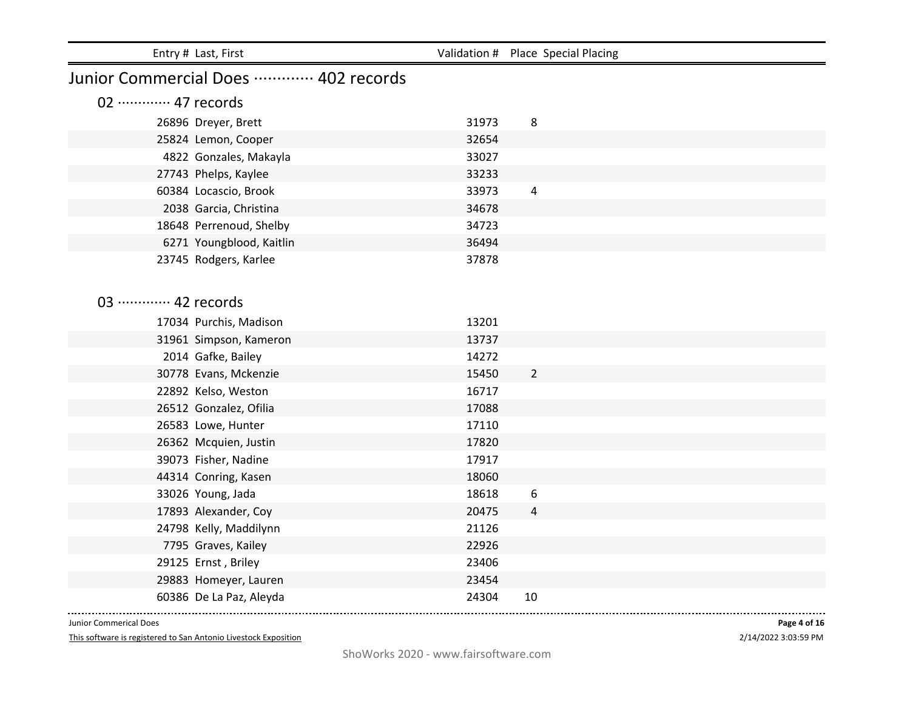|                             | Entry # Last, First                 |       | Validation # Place Special Placing |  |  |
|-----------------------------|-------------------------------------|-------|------------------------------------|--|--|
|                             | Junior Commercial Does  402 records |       |                                    |  |  |
| 02 ············· 47 records |                                     |       |                                    |  |  |
|                             | 26896 Dreyer, Brett                 | 31973 | 8                                  |  |  |
|                             | 25824 Lemon, Cooper                 | 32654 |                                    |  |  |
|                             | 4822 Gonzales, Makayla              | 33027 |                                    |  |  |
|                             | 27743 Phelps, Kaylee                | 33233 |                                    |  |  |
|                             | 60384 Locascio, Brook               | 33973 | 4                                  |  |  |
|                             | 2038 Garcia, Christina              | 34678 |                                    |  |  |
|                             | 18648 Perrenoud, Shelby             | 34723 |                                    |  |  |
|                             | 6271 Youngblood, Kaitlin            | 36494 |                                    |  |  |
|                             | 23745 Rodgers, Karlee               | 37878 |                                    |  |  |
|                             |                                     |       |                                    |  |  |
| 03 ············· 42 records |                                     |       |                                    |  |  |
|                             | 17034 Purchis, Madison              | 13201 |                                    |  |  |
|                             | 31961 Simpson, Kameron              | 13737 |                                    |  |  |
|                             | 2014 Gafke, Bailey                  | 14272 |                                    |  |  |
|                             | 30778 Evans, Mckenzie               | 15450 | $\overline{2}$                     |  |  |
|                             | 22892 Kelso, Weston                 | 16717 |                                    |  |  |
|                             | 26512 Gonzalez, Ofilia              | 17088 |                                    |  |  |
|                             | 26583 Lowe, Hunter                  | 17110 |                                    |  |  |
|                             | 26362 Mcquien, Justin               | 17820 |                                    |  |  |
|                             | 39073 Fisher, Nadine                | 17917 |                                    |  |  |
|                             | 44314 Conring, Kasen                | 18060 |                                    |  |  |
|                             | 33026 Young, Jada                   | 18618 | 6                                  |  |  |
|                             | 17893 Alexander, Coy                | 20475 | 4                                  |  |  |
|                             | 24798 Kelly, Maddilynn              | 21126 |                                    |  |  |
|                             | 7795 Graves, Kailey                 | 22926 |                                    |  |  |
|                             | 29125 Ernst, Briley                 | 23406 |                                    |  |  |
|                             | 29883 Homeyer, Lauren               | 23454 |                                    |  |  |
|                             | 60386 De La Paz, Aleyda             | 24304 | 10                                 |  |  |

This software is registered to San Antonio Livestock Exposition

2/14/2022 3:03:59 PM **Page 4 of 16**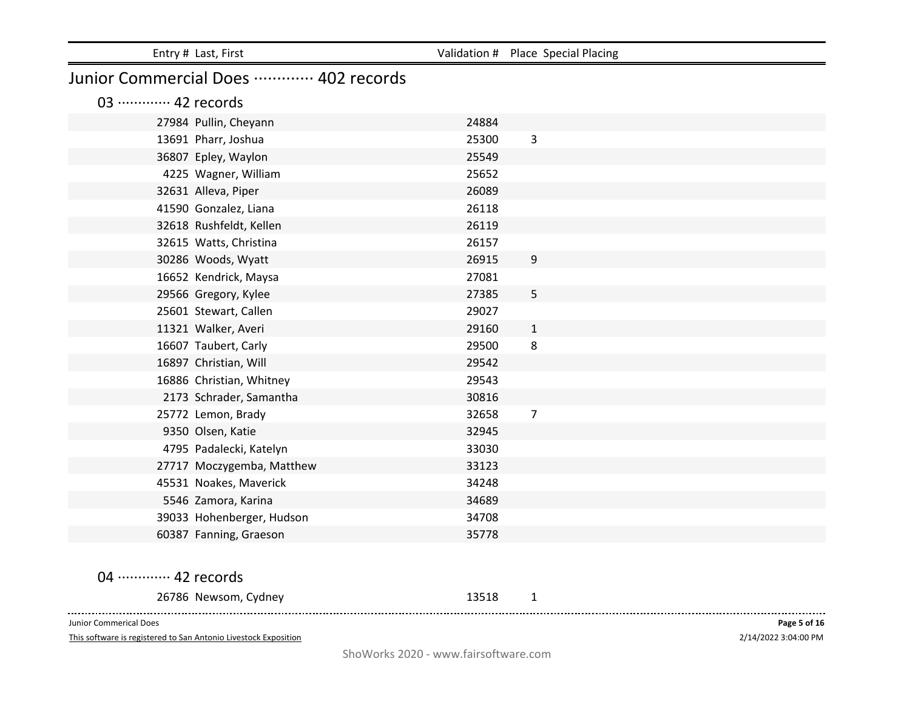| Entry # Last, First                                             |       | Validation # Place Special Placing |
|-----------------------------------------------------------------|-------|------------------------------------|
| Junior Commercial Does  402 records                             |       |                                    |
| 03 ············· 42 records                                     |       |                                    |
| 27984 Pullin, Cheyann                                           | 24884 |                                    |
| 13691 Pharr, Joshua                                             | 25300 | 3                                  |
| 36807 Epley, Waylon                                             | 25549 |                                    |
| 4225 Wagner, William                                            | 25652 |                                    |
| 32631 Alleva, Piper                                             | 26089 |                                    |
| 41590 Gonzalez, Liana                                           | 26118 |                                    |
| 32618 Rushfeldt, Kellen                                         | 26119 |                                    |
| 32615 Watts, Christina                                          | 26157 |                                    |
| 30286 Woods, Wyatt                                              | 26915 | 9                                  |
| 16652 Kendrick, Maysa                                           | 27081 |                                    |
| 29566 Gregory, Kylee                                            | 27385 | 5                                  |
| 25601 Stewart, Callen                                           | 29027 |                                    |
| 11321 Walker, Averi                                             | 29160 | $\mathbf{1}$                       |
| 16607 Taubert, Carly                                            | 29500 | 8                                  |
| 16897 Christian, Will                                           | 29542 |                                    |
| 16886 Christian, Whitney                                        | 29543 |                                    |
| 2173 Schrader, Samantha                                         | 30816 |                                    |
| 25772 Lemon, Brady                                              | 32658 | $\overline{7}$                     |
| 9350 Olsen, Katie                                               | 32945 |                                    |
| 4795 Padalecki, Katelyn                                         | 33030 |                                    |
| 27717 Moczygemba, Matthew                                       | 33123 |                                    |
| 45531 Noakes, Maverick                                          | 34248 |                                    |
| 5546 Zamora, Karina                                             | 34689 |                                    |
| 39033 Hohenberger, Hudson                                       | 34708 |                                    |
| 60387 Fanning, Graeson                                          | 35778 |                                    |
| 04 ············· 42 records                                     |       |                                    |
|                                                                 |       |                                    |
| 26786 Newsom, Cydney                                            | 13518 | 1                                  |
| Junior Commerical Does                                          |       | Page 5 of 16                       |
| This software is registered to San Antonio Livestock Exposition |       | 2/14/2022 3:04:00 PM               |

ShoWorks 2020 - www.fairsoftware.com

2/14/2022 3:04:00 PM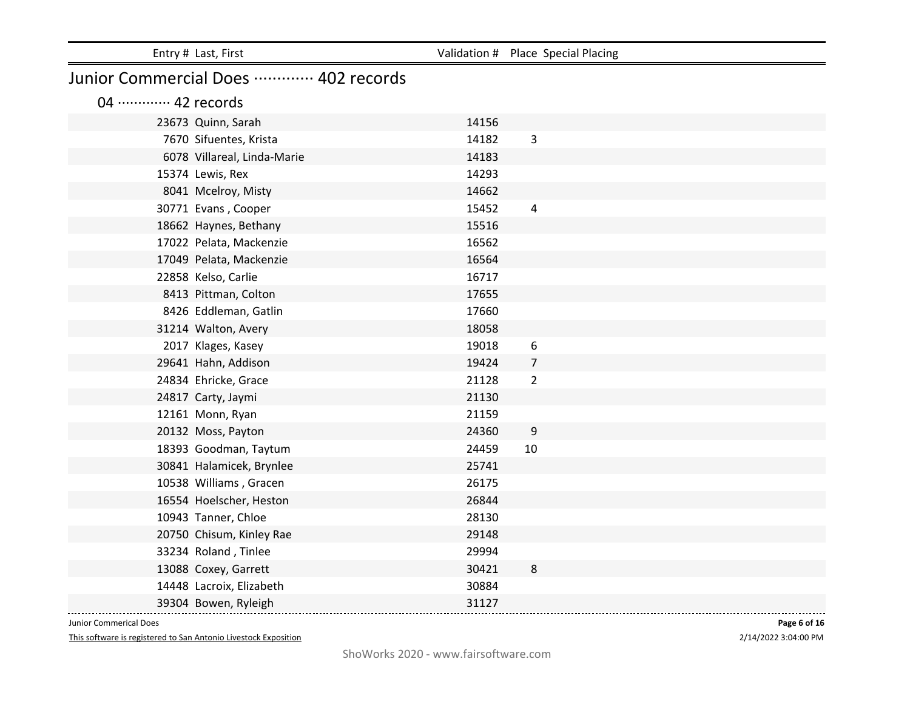| Entry # Last, First                     |       | Validation # Place Special Placing |
|-----------------------------------------|-------|------------------------------------|
| Junior Commercial Does ………… 402 records |       |                                    |
| 04 ············· 42 records             |       |                                    |
| 23673 Quinn, Sarah                      | 14156 |                                    |
| 7670 Sifuentes, Krista                  | 14182 | 3                                  |
| 6078 Villareal, Linda-Marie             | 14183 |                                    |
| 15374 Lewis, Rex                        | 14293 |                                    |
| 8041 Mcelroy, Misty                     | 14662 |                                    |
| 30771 Evans, Cooper                     | 15452 | $\overline{4}$                     |
| 18662 Haynes, Bethany                   | 15516 |                                    |
| 17022 Pelata, Mackenzie                 | 16562 |                                    |
| 17049 Pelata, Mackenzie                 | 16564 |                                    |
| 22858 Kelso, Carlie                     | 16717 |                                    |
| 8413 Pittman, Colton                    | 17655 |                                    |
| 8426 Eddleman, Gatlin                   | 17660 |                                    |
| 31214 Walton, Avery                     | 18058 |                                    |
| 2017 Klages, Kasey                      | 19018 | 6                                  |
| 29641 Hahn, Addison                     | 19424 | $\overline{7}$                     |
| 24834 Ehricke, Grace                    | 21128 | $\overline{2}$                     |
| 24817 Carty, Jaymi                      | 21130 |                                    |
| 12161 Monn, Ryan                        | 21159 |                                    |
| 20132 Moss, Payton                      | 24360 | $\boldsymbol{9}$                   |
| 18393 Goodman, Taytum                   | 24459 | 10                                 |
| 30841 Halamicek, Brynlee                | 25741 |                                    |
| 10538 Williams, Gracen                  | 26175 |                                    |
| 16554 Hoelscher, Heston                 | 26844 |                                    |
| 10943 Tanner, Chloe                     | 28130 |                                    |
| 20750 Chisum, Kinley Rae                | 29148 |                                    |
| 33234 Roland, Tinlee                    | 29994 |                                    |
| 13088 Coxey, Garrett                    | 30421 | 8                                  |
| 14448 Lacroix, Elizabeth                | 30884 |                                    |
| 39304 Bowen, Ryleigh                    | 31127 |                                    |

This software is registered to San Antonio Livestock Exposition

2/14/2022 3:04:00 PM **Page 6 of 16**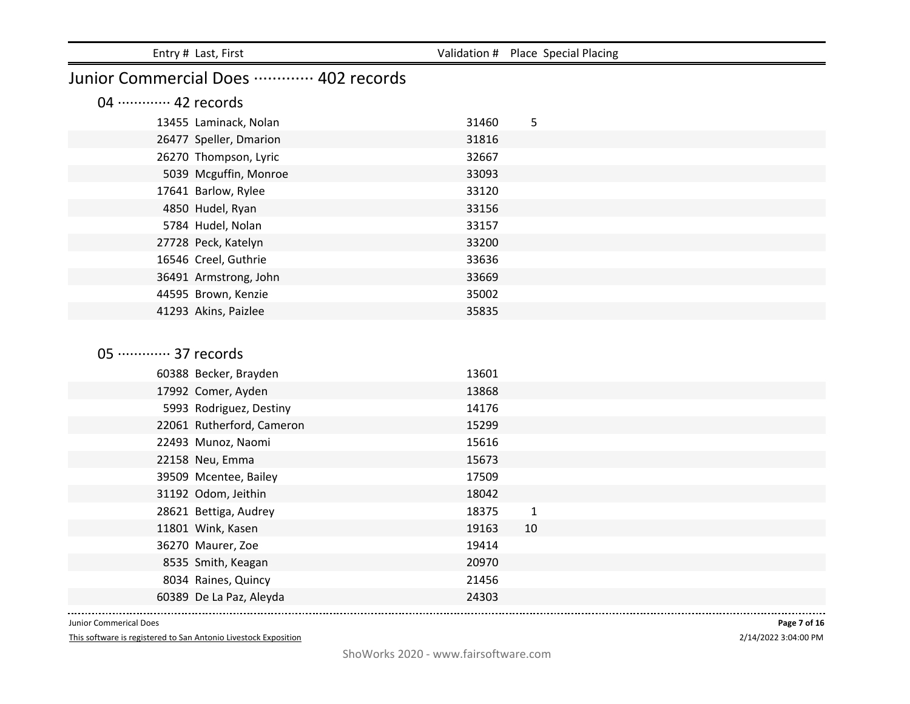| Entry # Last, First                      |                | Validation # Place Special Placing |  |
|------------------------------------------|----------------|------------------------------------|--|
| Junior Commercial Does  402 records      |                |                                    |  |
| 04 ············· 42 records              |                |                                    |  |
| 13455 Laminack, Nolan                    | 31460          | 5                                  |  |
| 26477 Speller, Dmarion                   | 31816          |                                    |  |
| 26270 Thompson, Lyric                    | 32667          |                                    |  |
| 5039 Mcguffin, Monroe                    | 33093          |                                    |  |
| 17641 Barlow, Rylee                      | 33120          |                                    |  |
| 4850 Hudel, Ryan                         | 33156          |                                    |  |
| 5784 Hudel, Nolan                        | 33157          |                                    |  |
| 27728 Peck, Katelyn                      | 33200          |                                    |  |
| 16546 Creel, Guthrie                     | 33636          |                                    |  |
| 36491 Armstrong, John                    | 33669          |                                    |  |
| 44595 Brown, Kenzie                      | 35002          |                                    |  |
| 41293 Akins, Paizlee                     | 35835          |                                    |  |
|                                          |                |                                    |  |
| 05 ············· 37 records              |                |                                    |  |
|                                          |                |                                    |  |
| 60388 Becker, Brayden                    | 13601<br>13868 |                                    |  |
| 17992 Comer, Ayden                       | 14176          |                                    |  |
| 5993 Rodriguez, Destiny                  |                |                                    |  |
| 22061 Rutherford, Cameron                | 15299<br>15616 |                                    |  |
| 22493 Munoz, Naomi                       | 15673          |                                    |  |
| 22158 Neu, Emma<br>39509 Mcentee, Bailey | 17509          |                                    |  |
| 31192 Odom, Jeithin                      | 18042          |                                    |  |
| 28621 Bettiga, Audrey                    | 18375          | $\mathbf{1}$                       |  |
| 11801 Wink, Kasen                        | 19163          | 10                                 |  |
| 36270 Maurer, Zoe                        | 19414          |                                    |  |
| 8535 Smith, Keagan                       | 20970          |                                    |  |
| 8034 Raines, Quincy                      | 21456          |                                    |  |
| 60389 De La Paz, Aleyda                  | 24303          |                                    |  |
|                                          |                |                                    |  |

This software is registered to San Antonio Livestock Exposition

2/14/2022 3:04:00 PM **Page 7 of 16**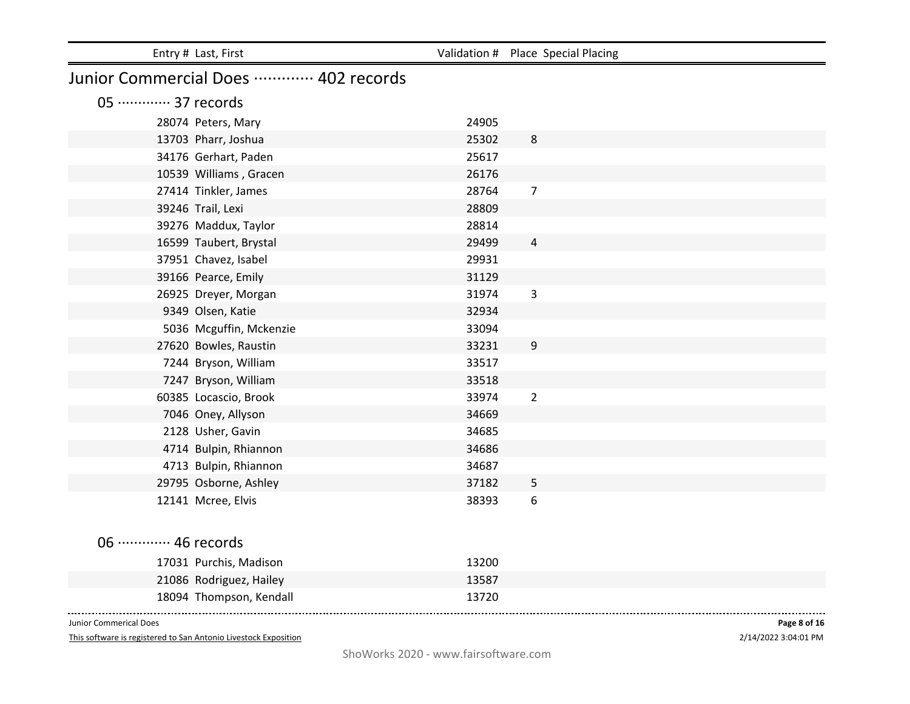| Entry # Last, First                 |       | Validation # Place Special Placing |
|-------------------------------------|-------|------------------------------------|
| Junior Commercial Does  402 records |       |                                    |
| 05 ············· 37 records         |       |                                    |
| 28074 Peters, Mary                  | 24905 |                                    |
| 13703 Pharr, Joshua                 | 25302 | 8                                  |
| 34176 Gerhart, Paden                | 25617 |                                    |
| 10539 Williams, Gracen              | 26176 |                                    |
| 27414 Tinkler, James                | 28764 | $\overline{7}$                     |
| 39246 Trail, Lexi                   | 28809 |                                    |
| 39276 Maddux, Taylor                | 28814 |                                    |
| 16599 Taubert, Brystal              | 29499 | $\overline{4}$                     |
| 37951 Chavez, Isabel                | 29931 |                                    |
| 39166 Pearce, Emily                 | 31129 |                                    |
| 26925 Dreyer, Morgan                | 31974 | 3                                  |
| 9349 Olsen, Katie                   | 32934 |                                    |
| 5036 Mcguffin, Mckenzie             | 33094 |                                    |
| 27620 Bowles, Raustin               | 33231 | $9\,$                              |
| 7244 Bryson, William                | 33517 |                                    |
| 7247 Bryson, William                | 33518 |                                    |
| 60385 Locascio, Brook               | 33974 | $\overline{2}$                     |
| 7046 Oney, Allyson                  | 34669 |                                    |
| 2128 Usher, Gavin                   | 34685 |                                    |
| 4714 Bulpin, Rhiannon               | 34686 |                                    |
| 4713 Bulpin, Rhiannon               | 34687 |                                    |
| 29795 Osborne, Ashley               | 37182 | 5                                  |
| 12141 Mcree, Elvis                  | 38393 | 6                                  |
|                                     |       |                                    |
| 06 ············· 46 records         |       |                                    |
| 17031 Purchis, Madison              | 13200 |                                    |
| 21086 Rodriguez, Hailey             | 13587 |                                    |
| 18094 Thompson, Kendall             | 13720 |                                    |

This software is registered to San Antonio Livestock Exposition

2/14/2022 3:04:01 PM **Page 8 of 16**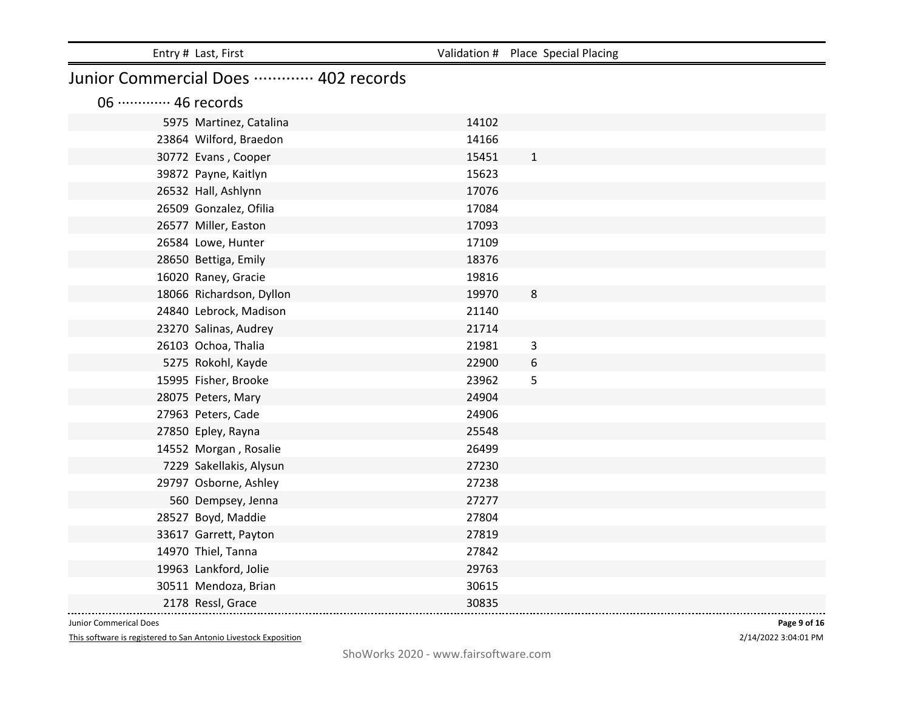| Entry # Last, First         |                                     | Validation # Place Special Placing |  |  |
|-----------------------------|-------------------------------------|------------------------------------|--|--|
|                             | Junior Commercial Does  402 records |                                    |  |  |
| 06 ············· 46 records |                                     |                                    |  |  |
| 5975 Martinez, Catalina     | 14102                               |                                    |  |  |
| 23864 Wilford, Braedon      | 14166                               |                                    |  |  |
| 30772 Evans, Cooper         | 15451                               | $\mathbf{1}$                       |  |  |
| 39872 Payne, Kaitlyn        | 15623                               |                                    |  |  |
| 26532 Hall, Ashlynn         | 17076                               |                                    |  |  |
| 26509 Gonzalez, Ofilia      | 17084                               |                                    |  |  |
| 26577 Miller, Easton        | 17093                               |                                    |  |  |
| 26584 Lowe, Hunter          | 17109                               |                                    |  |  |
| 28650 Bettiga, Emily        | 18376                               |                                    |  |  |
| 16020 Raney, Gracie         | 19816                               |                                    |  |  |
| 18066 Richardson, Dyllon    | 19970                               | 8                                  |  |  |
| 24840 Lebrock, Madison      | 21140                               |                                    |  |  |
| 23270 Salinas, Audrey       | 21714                               |                                    |  |  |
| 26103 Ochoa, Thalia         | 21981                               | 3                                  |  |  |
| 5275 Rokohl, Kayde          | 22900                               | 6                                  |  |  |
| 15995 Fisher, Brooke        | 23962                               | 5                                  |  |  |
| 28075 Peters, Mary          | 24904                               |                                    |  |  |
| 27963 Peters, Cade          | 24906                               |                                    |  |  |
| 27850 Epley, Rayna          | 25548                               |                                    |  |  |
| 14552 Morgan, Rosalie       | 26499                               |                                    |  |  |
| 7229 Sakellakis, Alysun     | 27230                               |                                    |  |  |
| 29797 Osborne, Ashley       | 27238                               |                                    |  |  |
| 560 Dempsey, Jenna          | 27277                               |                                    |  |  |
| 28527 Boyd, Maddie          | 27804                               |                                    |  |  |
| 33617 Garrett, Payton       | 27819                               |                                    |  |  |
| 14970 Thiel, Tanna          | 27842                               |                                    |  |  |
| 19963 Lankford, Jolie       | 29763                               |                                    |  |  |
| 30511 Mendoza, Brian        | 30615                               |                                    |  |  |
| 2178 Ressl, Grace           | 30835                               |                                    |  |  |

This software is registered to San Antonio Livestock Exposition

2/14/2022 3:04:01 PM **Page 9 of 16**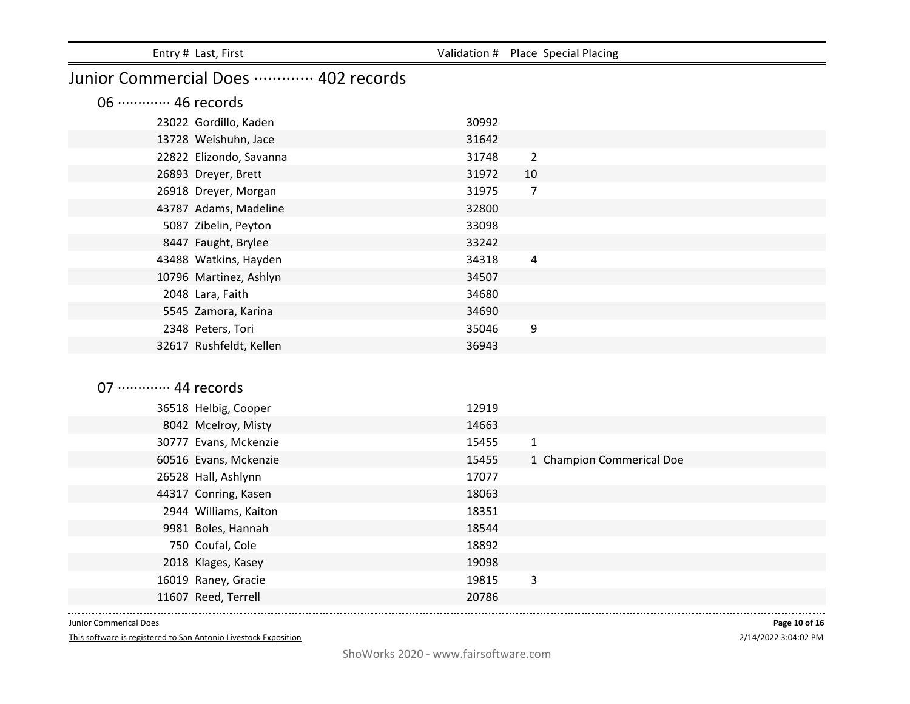| Entry # Last, First                 |       | Validation # Place Special Placing |  |  |
|-------------------------------------|-------|------------------------------------|--|--|
| Junior Commercial Does  402 records |       |                                    |  |  |
| 06 ············· 46 records         |       |                                    |  |  |
| 23022 Gordillo, Kaden               | 30992 |                                    |  |  |
| 13728 Weishuhn, Jace                | 31642 |                                    |  |  |
| 22822 Elizondo, Savanna             | 31748 | $\overline{2}$                     |  |  |
| 26893 Dreyer, Brett                 | 31972 | 10                                 |  |  |
| 26918 Dreyer, Morgan                | 31975 | 7                                  |  |  |
| 43787 Adams, Madeline               | 32800 |                                    |  |  |
| 5087 Zibelin, Peyton                | 33098 |                                    |  |  |
| 8447 Faught, Brylee                 | 33242 |                                    |  |  |
| 43488 Watkins, Hayden               | 34318 | $\overline{4}$                     |  |  |
| 10796 Martinez, Ashlyn              | 34507 |                                    |  |  |
| 2048 Lara, Faith                    | 34680 |                                    |  |  |
| 5545 Zamora, Karina                 | 34690 |                                    |  |  |
| 2348 Peters, Tori                   | 35046 | 9                                  |  |  |
| 32617 Rushfeldt, Kellen             | 36943 |                                    |  |  |
|                                     |       |                                    |  |  |
| 07 ············· 44 records         |       |                                    |  |  |
| 36518 Helbig, Cooper                | 12919 |                                    |  |  |
| 8042 Mcelroy, Misty                 | 14663 |                                    |  |  |
| 30777 Evans, Mckenzie               | 15455 | $\mathbf{1}$                       |  |  |
| 60516 Evans, Mckenzie               | 15455 | 1 Champion Commerical Doe          |  |  |
| 26528 Hall, Ashlynn                 | 17077 |                                    |  |  |

| 36518 Helbig, Cooper  | 12919                              |
|-----------------------|------------------------------------|
| 8042 Mcelroy, Misty   | 14663                              |
| 30777 Evans, Mckenzie | 15455<br>1                         |
| 60516 Evans, Mckenzie | 15455<br>1 Champion Commerical Doe |
| 26528 Hall, Ashlynn   | 17077                              |
| 44317 Conring, Kasen  | 18063                              |
| 2944 Williams, Kaiton | 18351                              |
| 9981 Boles, Hannah    | 18544                              |
| 750 Coufal, Cole      | 18892                              |
| 2018 Klages, Kasey    | 19098                              |
| 16019 Raney, Gracie   | 3<br>19815                         |
| 11607 Reed, Terrell   | 20786                              |
|                       |                                    |

This software is registered to San Antonio Livestock Exposition

2/14/2022 3:04:02 PM **Page 10 of 16**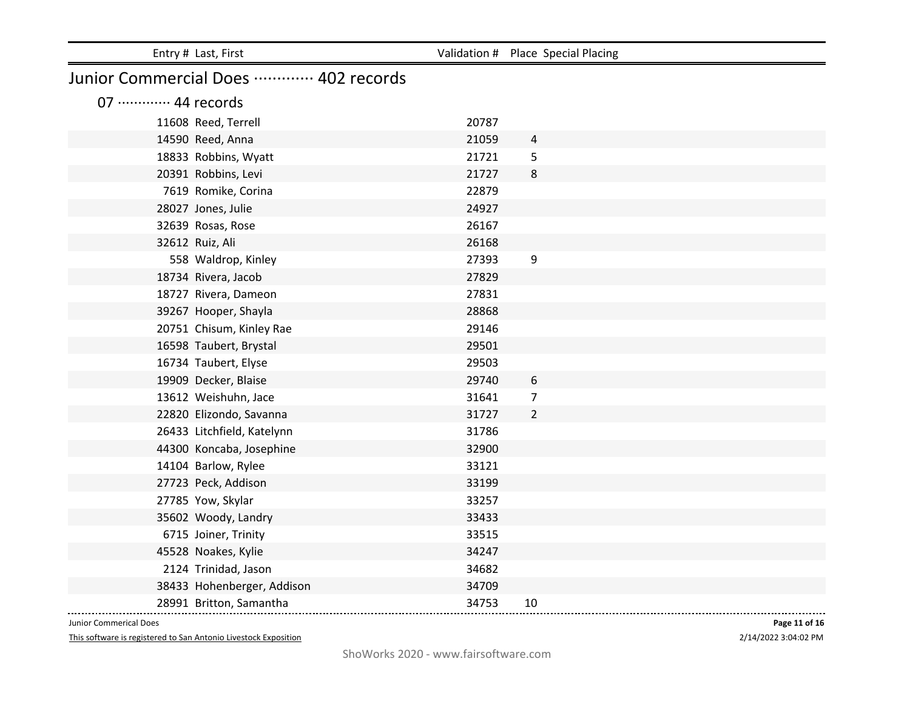| Entry # Last, First                     |       | Validation # Place Special Placing |  |  |  |
|-----------------------------------------|-------|------------------------------------|--|--|--|
| Junior Commercial Does ………… 402 records |       |                                    |  |  |  |
| 07 ············· 44 records             |       |                                    |  |  |  |
| 11608 Reed, Terrell                     | 20787 |                                    |  |  |  |
| 14590 Reed, Anna                        | 21059 | 4                                  |  |  |  |
| 18833 Robbins, Wyatt                    | 21721 | 5                                  |  |  |  |
| 20391 Robbins, Levi                     | 21727 | 8                                  |  |  |  |
| 7619 Romike, Corina                     | 22879 |                                    |  |  |  |
| 28027 Jones, Julie                      | 24927 |                                    |  |  |  |
| 32639 Rosas, Rose                       | 26167 |                                    |  |  |  |
| 32612 Ruiz, Ali                         | 26168 |                                    |  |  |  |
| 558 Waldrop, Kinley                     | 27393 | 9                                  |  |  |  |
| 18734 Rivera, Jacob                     | 27829 |                                    |  |  |  |
| 18727 Rivera, Dameon                    | 27831 |                                    |  |  |  |
| 39267 Hooper, Shayla                    | 28868 |                                    |  |  |  |
| 20751 Chisum, Kinley Rae                | 29146 |                                    |  |  |  |
| 16598 Taubert, Brystal                  | 29501 |                                    |  |  |  |
| 16734 Taubert, Elyse                    | 29503 |                                    |  |  |  |
| 19909 Decker, Blaise                    | 29740 | 6                                  |  |  |  |
| 13612 Weishuhn, Jace                    | 31641 | $\overline{7}$                     |  |  |  |
| 22820 Elizondo, Savanna                 | 31727 | $\overline{2}$                     |  |  |  |
| 26433 Litchfield, Katelynn              | 31786 |                                    |  |  |  |
| 44300 Koncaba, Josephine                | 32900 |                                    |  |  |  |
| 14104 Barlow, Rylee                     | 33121 |                                    |  |  |  |
| 27723 Peck, Addison                     | 33199 |                                    |  |  |  |
| 27785 Yow, Skylar                       | 33257 |                                    |  |  |  |
| 35602 Woody, Landry                     | 33433 |                                    |  |  |  |
| 6715 Joiner, Trinity                    | 33515 |                                    |  |  |  |
| 45528 Noakes, Kylie                     | 34247 |                                    |  |  |  |
| 2124 Trinidad, Jason                    | 34682 |                                    |  |  |  |
| 38433 Hohenberger, Addison              | 34709 |                                    |  |  |  |
| 28991 Britton, Samantha                 | 34753 | 10                                 |  |  |  |

This software is registered to San Antonio Livestock Exposition

2/14/2022 3:04:02 PM **Page 11 of 16**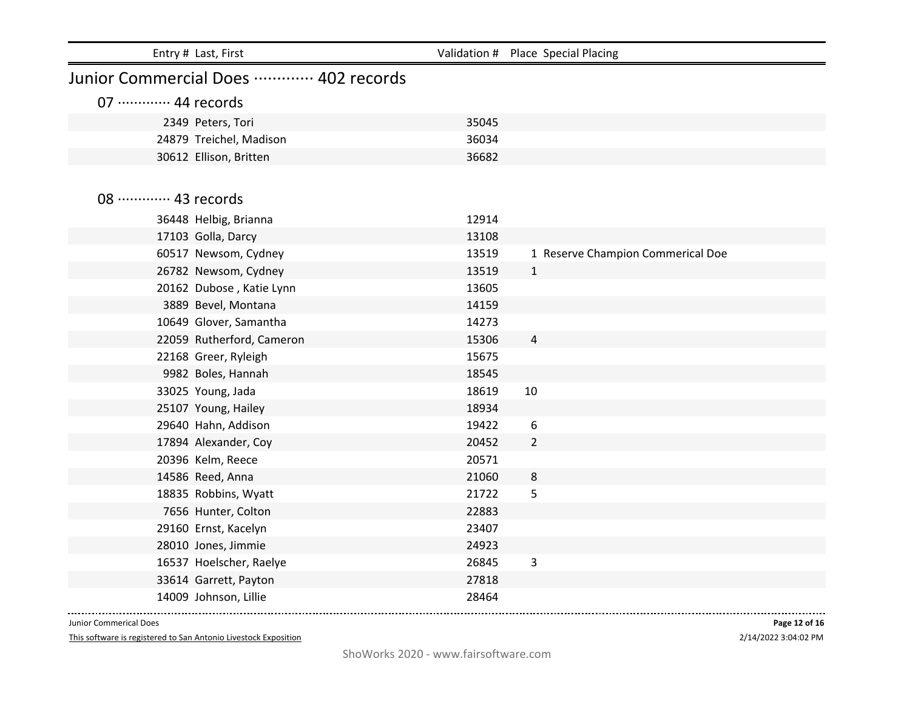| Entry # Last, First                        |                | Validation # Place Special Placing |
|--------------------------------------------|----------------|------------------------------------|
| Junior Commercial Does  402 records        |                |                                    |
| 07 ············· 44 records                |                |                                    |
| 2349 Peters, Tori                          | 35045          |                                    |
| 24879 Treichel, Madison                    | 36034          |                                    |
| 30612 Ellison, Britten                     | 36682          |                                    |
|                                            |                |                                    |
| 08 ············· 43 records                |                |                                    |
|                                            |                |                                    |
| 36448 Helbig, Brianna                      | 12914          |                                    |
| 17103 Golla, Darcy<br>60517 Newsom, Cydney | 13108<br>13519 | 1 Reserve Champion Commerical Doe  |
| 26782 Newsom, Cydney                       | 13519          | $\mathbf{1}$                       |
| 20162 Dubose, Katie Lynn                   | 13605          |                                    |
| 3889 Bevel, Montana                        | 14159          |                                    |
| 10649 Glover, Samantha                     | 14273          |                                    |
| 22059 Rutherford, Cameron                  | 15306          | $\overline{a}$                     |
| 22168 Greer, Ryleigh                       | 15675          |                                    |
| 9982 Boles, Hannah                         | 18545          |                                    |
| 33025 Young, Jada                          | 18619          | 10                                 |
| 25107 Young, Hailey                        | 18934          |                                    |
| 29640 Hahn, Addison                        | 19422          | 6                                  |
| 17894 Alexander, Coy                       | 20452          | $\overline{2}$                     |
| 20396 Kelm, Reece                          | 20571          |                                    |
| 14586 Reed, Anna                           | 21060          | 8                                  |
| 18835 Robbins, Wyatt                       | 21722          | 5                                  |
| 7656 Hunter, Colton                        | 22883          |                                    |
| 29160 Ernst, Kacelyn                       | 23407          |                                    |
| 28010 Jones, Jimmie                        | 24923          |                                    |
| 16537 Hoelscher, Raelye                    | 26845          | 3                                  |
| 33614 Garrett, Payton                      | 27818          |                                    |
| 14009 Johnson, Lillie                      | 28464          |                                    |

This software is registered to San Antonio Livestock Exposition

2/14/2022 3:04:02 PM **Page 12 of 16**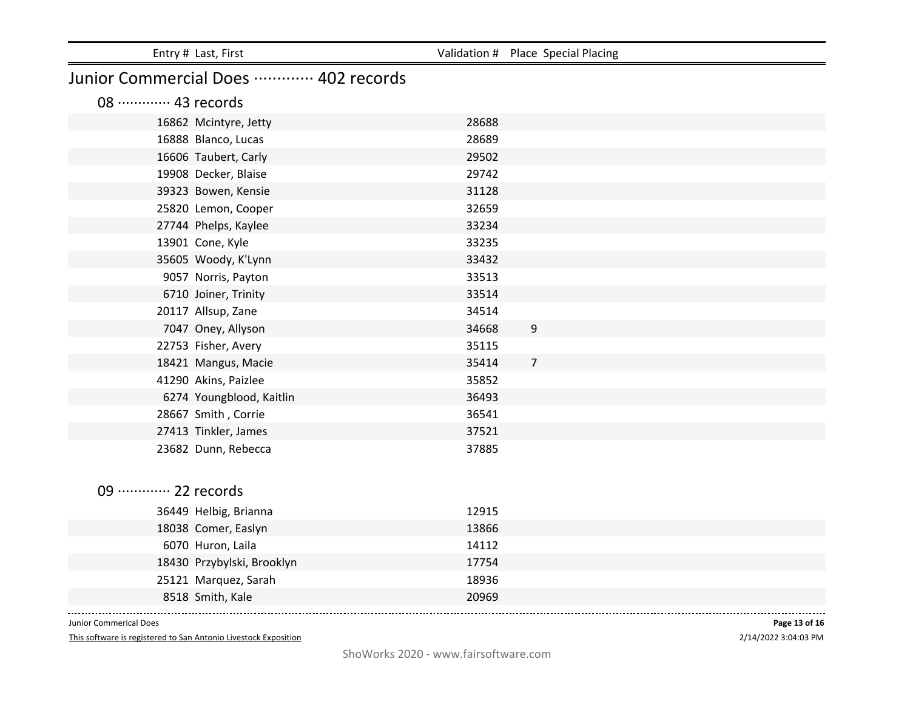| 31128 |                                           |
|-------|-------------------------------------------|
| 32659 |                                           |
| 33234 |                                           |
| 33235 |                                           |
| 33432 |                                           |
| 33513 |                                           |
| 33514 |                                           |
| 34514 |                                           |
| 34668 | 9                                         |
| 35115 |                                           |
| 35414 | $\overline{7}$                            |
| 35852 |                                           |
| 36493 |                                           |
| 36541 |                                           |
| 37521 |                                           |
| 37885 |                                           |
|       |                                           |
|       |                                           |
|       |                                           |
| 13866 |                                           |
| 14112 |                                           |
| 17754 |                                           |
| 18936 |                                           |
| 20969 |                                           |
|       | 28688<br>28689<br>29502<br>29742<br>12915 |

This software is registered to San Antonio Livestock Exposition

2/14/2022 3:04:03 PM **Page 13 of 16**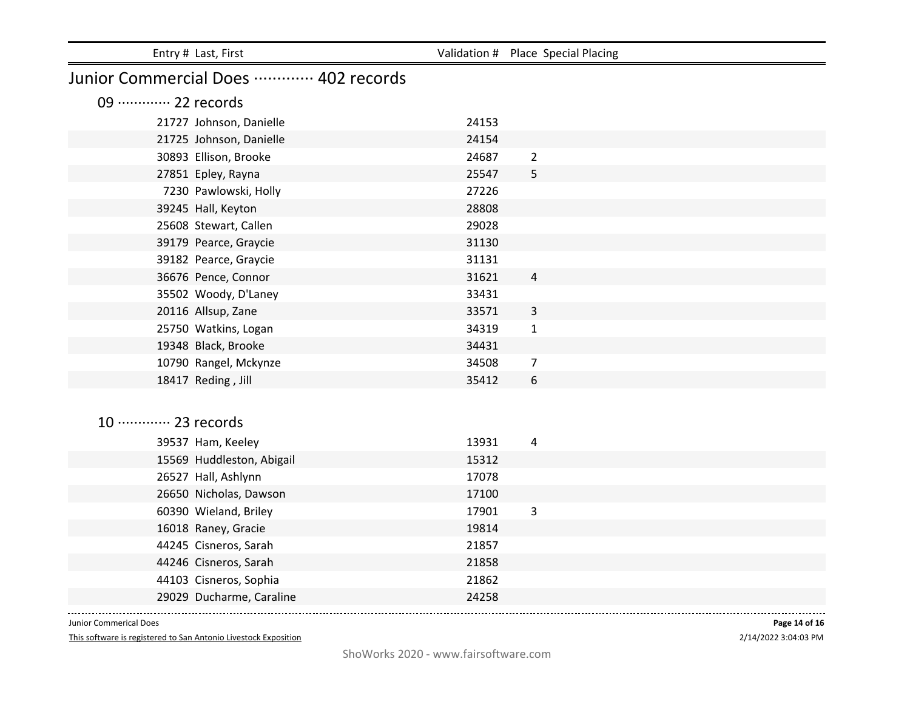| Entry # Last, First                 |       | Validation # Place Special Placing |
|-------------------------------------|-------|------------------------------------|
| Junior Commercial Does  402 records |       |                                    |
| 09 ············· 22 records         |       |                                    |
| 21727 Johnson, Danielle             | 24153 |                                    |
| 21725 Johnson, Danielle             | 24154 |                                    |
| 30893 Ellison, Brooke               | 24687 | $\overline{2}$                     |
| 27851 Epley, Rayna                  | 25547 | 5                                  |
| 7230 Pawlowski, Holly               | 27226 |                                    |
| 39245 Hall, Keyton                  | 28808 |                                    |
| 25608 Stewart, Callen               | 29028 |                                    |
| 39179 Pearce, Graycie               | 31130 |                                    |
| 39182 Pearce, Graycie               | 31131 |                                    |
| 36676 Pence, Connor                 | 31621 | $\overline{a}$                     |
| 35502 Woody, D'Laney                | 33431 |                                    |
| 20116 Allsup, Zane                  | 33571 | $\mathbf{3}$                       |
| 25750 Watkins, Logan                | 34319 | $\mathbf{1}$                       |
| 19348 Black, Brooke                 | 34431 |                                    |
| 10790 Rangel, Mckynze               | 34508 | $\overline{7}$                     |
| 18417 Reding, Jill                  | 35412 | 6                                  |
|                                     |       |                                    |
|                                     |       |                                    |
| 10 ············· 23 records         |       |                                    |
| 39537 Ham, Keeley                   | 13931 | 4                                  |
| 15569 Huddleston, Abigail           | 15312 |                                    |
| 26527 Hall, Ashlynn                 | 17078 |                                    |
| 26650 Nicholas, Dawson              | 17100 |                                    |
| 60390 Wieland, Briley               | 17901 | 3                                  |
| 16018 Raney, Gracie                 | 19814 |                                    |
| 44245 Cisneros, Sarah               | 21857 |                                    |
| 44246 Cisneros, Sarah               | 21858 |                                    |
| 44103 Cisneros, Sophia              | 21862 |                                    |
| 29029 Ducharme, Caraline            | 24258 |                                    |

This software is registered to San Antonio Livestock Exposition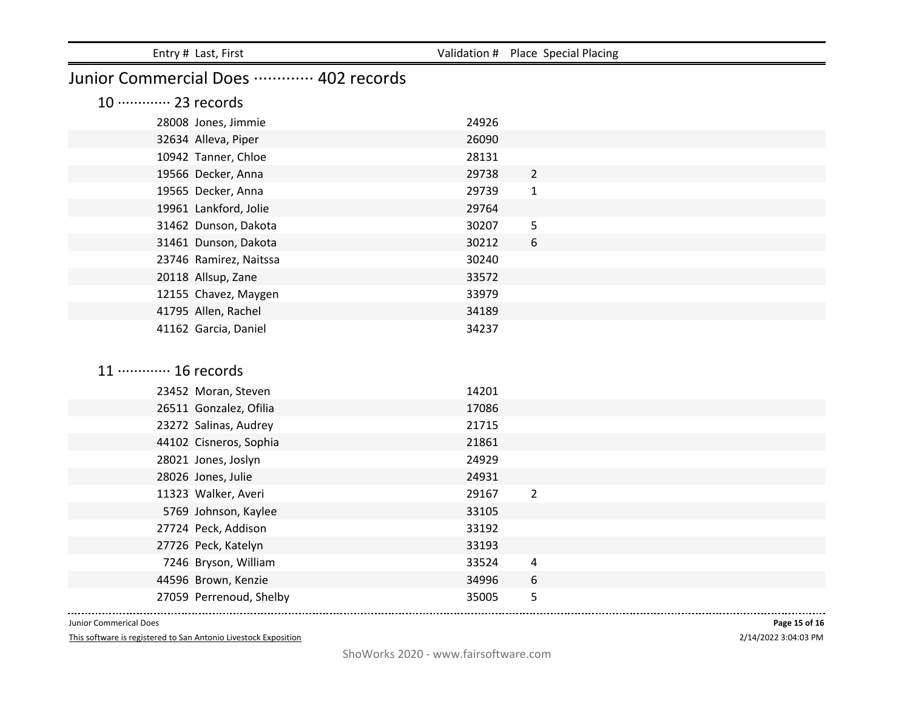| Entry # Last, First                 |       | Validation # Place Special Placing |
|-------------------------------------|-------|------------------------------------|
| Junior Commercial Does  402 records |       |                                    |
| 10 ············· 23 records         |       |                                    |
| 28008 Jones, Jimmie                 | 24926 |                                    |
| 32634 Alleva, Piper                 | 26090 |                                    |
| 10942 Tanner, Chloe                 | 28131 |                                    |
| 19566 Decker, Anna                  | 29738 | $\overline{2}$                     |
| 19565 Decker, Anna                  | 29739 | $\mathbf{1}$                       |
| 19961 Lankford, Jolie               | 29764 |                                    |
| 31462 Dunson, Dakota                | 30207 | 5                                  |
| 31461 Dunson, Dakota                | 30212 | 6                                  |
| 23746 Ramirez, Naitssa              | 30240 |                                    |
| 20118 Allsup, Zane                  | 33572 |                                    |
| 12155 Chavez, Maygen                | 33979 |                                    |
| 41795 Allen, Rachel                 | 34189 |                                    |
| 41162 Garcia, Daniel                | 34237 |                                    |
|                                     |       |                                    |
| 11 ············· 16 records         |       |                                    |
| 23452 Moran, Steven                 | 14201 |                                    |
| 26511 Gonzalez, Ofilia              | 17086 |                                    |
| 23272 Salinas, Audrey               | 21715 |                                    |
| 44102 Cisneros, Sophia              | 21861 |                                    |
| 28021 Jones, Joslyn                 | 24929 |                                    |
| 28026 Jones, Julie                  | 24931 |                                    |
| 11323 Walker, Averi                 | 29167 | $\overline{2}$                     |
| 5769 Johnson, Kaylee                | 33105 |                                    |
| 27724 Peck, Addison                 | 33192 |                                    |
| 27726 Peck, Katelyn                 | 33193 |                                    |
| 7246 Bryson, William                | 33524 | 4                                  |
| 44596 Brown, Kenzie                 | 34996 | 6                                  |
| 27059 Perrenoud, Shelby             | 35005 | 5                                  |

This software is registered to San Antonio Livestock Exposition

2/14/2022 3:04:03 PM **Page 15 of 16**